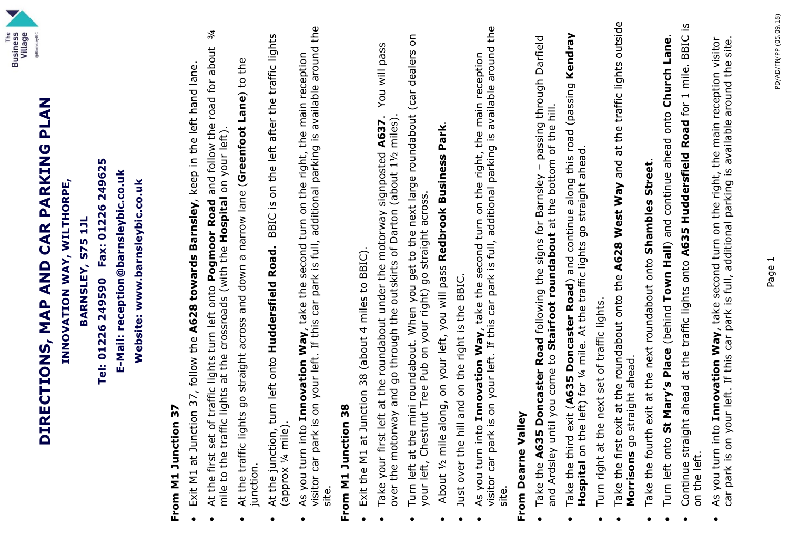

# DIRECTIONS, MAP AND CAR PARKING PLAN **DIRECTIONS, MAP AND CAR PARKING PLAN** INNOVATION WAY, WILTHORPE, **INNOVATION WAY, WILTHORPE,**

Tel: 01226 249590 Fax: 01226 249625 BARNSLEY, S75 1JL **BARNSLEY, S75 1JL**

**Tel: 01226 249590 Fax: 01226 249625** E-Mail: reception@barnsleybic.co.uk **E-Mail: reception@barnsleybic.co.uk**

Website: www.barnsleybic.co.uk **Website: www.barnsleybic.co.uk**

# From M1 Junction 37 **From M1 Junction 37**

•

- Exit M1 at Junction 37, follow the A628 towards Barnsley, keep in the left hand lane. Exit M1 at Junction 37, follow the **A628 towards Barnsley**, keep in the left hand lane.
- 岑 ● At the first set of traffic lights turn left onto **Pogmoor Road** and follow the road for about ¾<br>mile to the traffic lights at the crossroads (with the **Hosnital** on your left) At the first set of traffic lights turn left onto Pogmoor Road and follow the road for about mile to the traffic lights at the crossroads (with the Hospital on your left). mile to the traffic lights at the crossroads (with the **Hospital** on your left). •
- At the traffic lights go straight across and down a narrow lane (Greenfoot Lane) to the At the traffic lights go straight across and down a narrow lane (**Greenfoot Lane**) to the junction. •
- BBIC is on the left after the traffic lights At the junction, turn left onto **Huddersfield Road.** BBIC is on the left after the traffic lights (approx ¼ mile).<br>As you turn into **Innovation Way**, take the second turn on the right, the main reception At the junction, turn left onto Huddersfield Road. •
- visitor car park is on your left. If this car park is full, additional parking is available around the visitor car park is on your left. If this car park is full, additional parking is available around the As you turn into **Innovation Way**, take the second turn on the right, the main reception site. •

# From M1 Junction 38 **From M1 Junction 38**

- Exit the M1 at Junction 38 (about 4 miles to BBIC). Exit the M1 at Junction 38 (about 4 miles to BBIC). •
- You will pass Take your first left at the roundabout under the motorway signposted **A637**. You will pass Take your first left at the roundabout under the motorway signposted A637. over the motorway and go through the outskirts of Darton (about 1½ miles). over the motorway and go through the outskirts of Darton (about 11/2 miles) •
- Turn left at the mini roundabout. When you get to the next large roundabout (car dealers on Turn left at the mini roundabout. When you get to the next large roundabout (car dealers on your left, Chestnut Tree Pub on your right) go straight across. your left, Chestnut Tree Pub on your right) go straight across. •
- About 1/2 mile along, on your left, you will pass Redbrook Business Park. About ½ mile along, on your left, you will pass **Redbrook Business Park**. •
	- Just over the hill and on the right is the BBIC. Just over the hill and on the right is the BBIC. •
- As you turn into **Innovation Way**, take the second turn on the right, the main reception<br>visitor car park is on your left. If this car park is full, additional parking is available around the visitor car park is on your left. If this car park is full, additional parking is available around the As you turn into **Innovation Way**, take the second turn on the right, the main reception site. •

### From Dearne Valley **From Dearne Valley**

- Take the A635 Doncaster Road following the signs for Barnsley passing through Darfield Take the **A635 Doncaster Road** following the signs for Barnsley – passing through Darfield and Ardsley until you come to Stairfoot roundabout at the bottom of the hill. and Ardsley until you come to **Stairfoot roundabout** at the bottom of the hill. •
- Take the third exit (A635 Doncaster Road) and continue along this road (passing Kendray<br>Hospital on the left) for ¼ mile. At the traffic lights go straight ahead. Take the third exit (**A635 Doncaster Road**) and continue along this road (passing **Kendray Hospital** on the left) for ¼ mile. At the traffic lights go straight ahead. •
	- Turn right at the next set of traffic lights. Turn right at the next set of traffic lights. •
- Take the first exit at the roundabout onto the A628 West Way and at the traffic lights outside Take the first exit at the roundabout onto the **A628 West Way** and at the traffic lights outside Morrisons go straight ahead. **Morrisons** go straight ahead. •
	- Take the fourth exit at the next roundabout onto Shambles Street. Take the fourth exit at the next roundabout onto **Shambles Street**. •
- Turn left onto **St Mary's Place** (behind **Town Hall**) and continue ahead onto **Church Lane**. Turn left onto St Mary's Place (behind Town Hall) and continue ahead onto Church Lane. •
- Continue straight ahead at the traffic lights onto A635 Huddersfield Road for 1 mile. BBIC is Continue straight ahead at the traffic lights onto **A635 Huddersfield Road** for 1 mile. BBIC is on the left. •
- car park is on your left. If this car park is full, additional parking is available around the site. As you turn into Innovation Way, take second turn on the right, the main reception visitor car park is on your left. If this car park is full, additional parking is available around the site. As you turn into **Innovation Way**, take second turn on the right, the main reception visitor •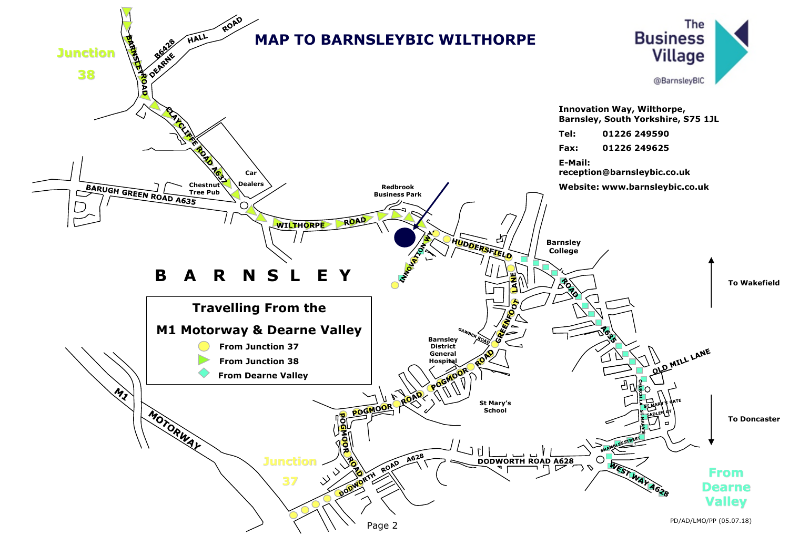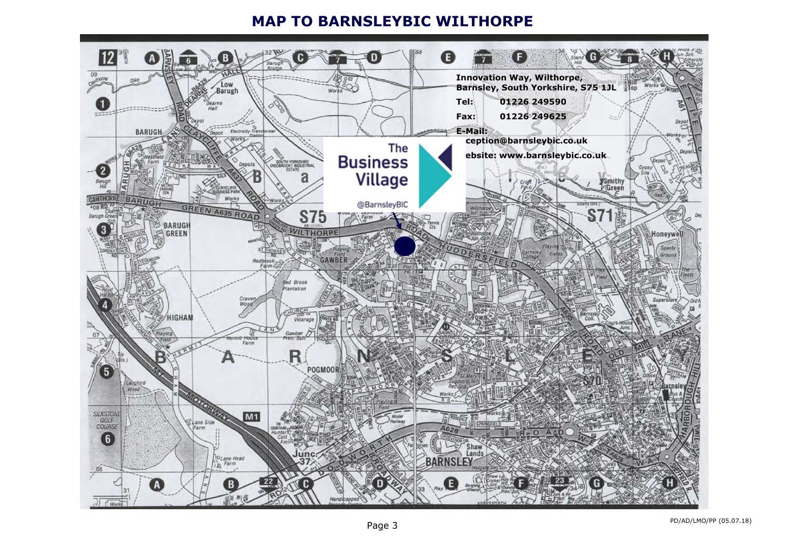### **MAP TO BARNSLEYBIC WILTHORPE**